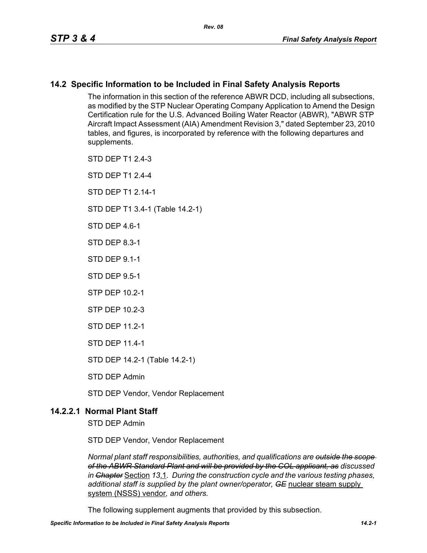## **14.2 Specific Information to be Included in Final Safety Analysis Reports**

The information in this section of the reference ABWR DCD, including all subsections, as modified by the STP Nuclear Operating Company Application to Amend the Design Certification rule for the U.S. Advanced Boiling Water Reactor (ABWR), "ABWR STP Aircraft Impact Assessment (AIA) Amendment Revision 3," dated September 23, 2010 tables, and figures, is incorporated by reference with the following departures and supplements.

STD DEP T1 2.4-3

STD DEP T1 2.4-4

STD DFP T1 2 14-1

STD DEP T1 3.4-1 (Table 14.2-1)

STD DFP 46-1

STD DEP 8.3-1

STD DEP 9.1-1

STD DEP 9.5-1

STP DEP 10.2-1

STP DEP 10.2-3

STD DEP 11.2-1

STD DEP 11.4-1

STD DEP 14.2-1 (Table 14.2-1)

STD DEP Admin

STD DEP Vendor, Vendor Replacement

## **14.2.2.1 Normal Plant Staff**

STD DEP Admin

STD DEP Vendor, Vendor Replacement

*Normal plant staff responsibilities, authorities, and qualifications are outside the scope of the ABWR Standard Plant and will be provided by the COL applicant, as discussed in Chapter* Section *13*.1*. During the construction cycle and the various testing phases, additional staff is supplied by the plant owner/operator, GE* nuclear steam supply system (NSSS) vendor*, and others.* 

The following supplement augments that provided by this subsection.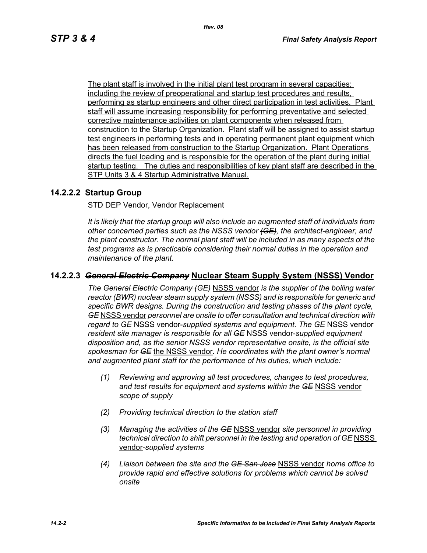The plant staff is involved in the initial plant test program in several capacities; including the review of preoperational and startup test procedures and results, performing as startup engineers and other direct participation in test activities. Plant staff will assume increasing responsibility for performing preventative and selected corrective maintenance activities on plant components when released from construction to the Startup Organization. Plant staff will be assigned to assist startup test engineers in performing tests and in operating permanent plant equipment which has been released from construction to the Startup Organization. Plant Operations directs the fuel loading and is responsible for the operation of the plant during initial startup testing. The duties and responsibilities of key plant staff are described in the STP Units 3 & 4 Startup Administrative Manual.

## **14.2.2.2 Startup Group**

STD DEP Vendor, Vendor Replacement

*It is likely that the startup group will also include an augmented staff of individuals from other concerned parties such as the NSSS vendor (GE), the architect-engineer, and the plant constructor. The normal plant staff will be included in as many aspects of the test programs as is practicable considering their normal duties in the operation and maintenance of the plant.*

## **14.2.2.3** *General Electric Company* **Nuclear Steam Supply System (NSSS) Vendor**

*The General Electric Company (GE)* NSSS vendor *is the supplier of the boiling water reactor (BWR) nuclear steam supply system (NSSS) and is responsible for generic and specific BWR designs. During the construction and testing phases of the plant cycle, GE* NSSS vendor *personnel are onsite to offer consultation and technical direction with regard to GE* NSSS vendor-*supplied systems and equipment. The GE* NSSS vendor *resident site manager is responsible for all GE* NSSS vendor-*supplied equipment disposition and, as the senior NSSS vendor representative onsite, is the official site spokesman for GE* the NSSS vendor*. He coordinates with the plant owner's normal and augmented plant staff for the performance of his duties, which include:*

- *(1) Reviewing and approving all test procedures, changes to test procedures, and test results for equipment and systems within the GE* NSSS vendor *scope of supply*
- *(2) Providing technical direction to the station staff*
- *(3) Managing the activities of the GE* NSSS vendor *site personnel in providing technical direction to shift personnel in the testing and operation of GE* NSSS vendor*-supplied systems*
- *(4) Liaison between the site and the GE San Jose* NSSS vendor *home office to provide rapid and effective solutions for problems which cannot be solved onsite*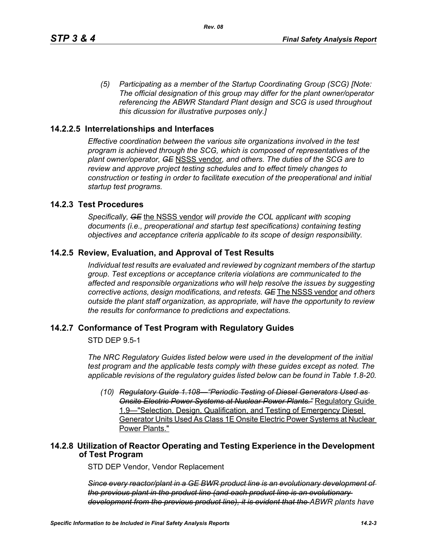*(5) Participating as a member of the Startup Coordinating Group (SCG) [Note: The official designation of this group may differ for the plant owner/operator referencing the ABWR Standard Plant design and SCG is used throughout this dicussion for illustrative purposes only.]*

## **14.2.2.5 Interrelationships and Interfaces**

*Effective coordination between the various site organizations involved in the test program is achieved through the SCG, which is composed of representatives of the plant owner/operator, GE* NSSS vendor*, and others. The duties of the SCG are to review and approve project testing schedules and to effect timely changes to construction or testing in order to facilitate execution of the preoperational and initial startup test programs.*

### **14.2.3 Test Procedures**

*Specifically, GE* the NSSS vendor *will provide the COL applicant with scoping documents (i.e., preoperational and startup test specifications) containing testing objectives and acceptance criteria applicable to its scope of design responsibility.*

## **14.2.5 Review, Evaluation, and Approval of Test Results**

*Individual test results are evaluated and reviewed by cognizant members of the startup group. Test exceptions or acceptance criteria violations are communicated to the affected and responsible organizations who will help resolve the issues by suggesting corrective actions, design modifications, and retests. GE* The NSSS vendor *and others outside the plant staff organization, as appropriate, will have the opportunity to review the results for conformance to predictions and expectations.*

### **14.2.7 Conformance of Test Program with Regulatory Guides**

STD DEP 9.5-1

*The NRC Regulatory Guides listed below were used in the development of the initial test program and the applicable tests comply with these guides except as noted. The applicable revisions of the regulatory guides listed below can be found in Table 1.8-20.*

*(10) Regulatory Guide 1.108—"Periodic Testing of Diesel Generators Used as Onsite Electric Power Systems at Nuclear Power Plants."* Regulatory Guide 1.9—"Selection, Design, Qualification, and Testing of Emergency Diesel Generator Units Used As Class 1E Onsite Electric Power Systems at Nuclear Power Plants."

## **14.2.8 Utilization of Reactor Operating and Testing Experience in the Development of Test Program**

STD DEP Vendor, Vendor Replacement

*Since every reactor/plant in a GE BWR product line is an evolutionary development of the previous plant in the product line (and each product line is an evolutionary development from the previous product line), it is evident that the ABWR plants have*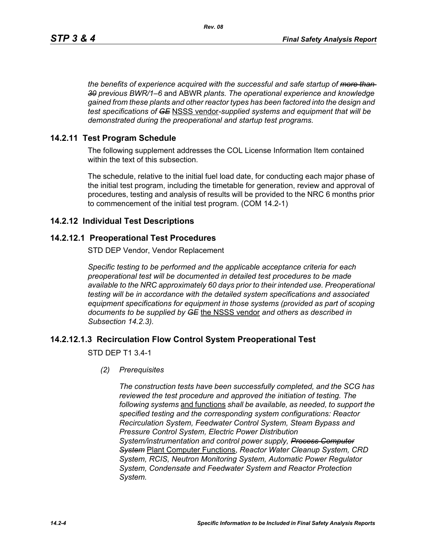*the benefits of experience acquired with the successful and safe startup of more than 30 previous BWR/1–6* and ABWR *plants. The operational experience and knowledge gained from these plants and other reactor types has been factored into the design and test specifications of GE* NSSS vendor*-supplied systems and equipment that will be demonstrated during the preoperational and startup test programs.*

## **14.2.11 Test Program Schedule**

The following supplement addresses the COL License Information Item contained within the text of this subsection.

The schedule, relative to the initial fuel load date, for conducting each major phase of the initial test program, including the timetable for generation, review and approval of procedures, testing and analysis of results will be provided to the NRC 6 months prior to commencement of the initial test program. (COM 14.2-1)

## **14.2.12 Individual Test Descriptions**

## **14.2.12.1 Preoperational Test Procedures**

STD DEP Vendor, Vendor Replacement

*Specific testing to be performed and the applicable acceptance criteria for each preoperational test will be documented in detailed test procedures to be made available to the NRC approximately 60 days prior to their intended use. Preoperational testing will be in accordance with the detailed system specifications and associated equipment specifications for equipment in those systems (provided as part of scoping documents to be supplied by GE* the NSSS vendor *and others as described in Subsection 14.2.3).*

## **14.2.12.1.3 Recirculation Flow Control System Preoperational Test**

STD DEP T1 3.4-1

*(2) Prerequisites*

*The construction tests have been successfully completed, and the SCG has reviewed the test procedure and approved the initiation of testing. The following systems* and functions *shall be available, as needed, to support the specified testing and the corresponding system configurations: Reactor Recirculation System, Feedwater Control System, Steam Bypass and Pressure Control System, Electric Power Distribution System/instrumentation and control power supply, Process Computer System* Plant Computer Functions, *Reactor Water Cleanup System, CRD System, RCIS, Neutron Monitoring System, Automatic Power Regulator System, Condensate and Feedwater System and Reactor Protection System.*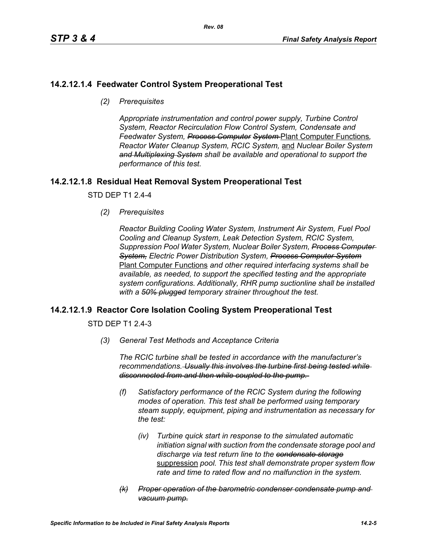## **14.2.12.1.4 Feedwater Control System Preoperational Test**

*(2) Prerequisites*

*Appropriate instrumentation and control power supply, Turbine Control System, Reactor Recirculation Flow Control System, Condensate and Feedwater System, Process Computer System* Plant Computer Functions*, Reactor Water Cleanup System, RCIC System,* and *Nuclear Boiler System and Multiplexing System shall be available and operational to support the performance of this test.*

## **14.2.12.1.8 Residual Heat Removal System Preoperational Test**

STD DEP T1 2.4-4

*(2) Prerequisites*

*Reactor Building Cooling Water System, Instrument Air System, Fuel Pool Cooling and Cleanup System, Leak Detection System, RCIC System, Suppression Pool Water System, Nuclear Boiler System, Process Computer System, Electric Power Distribution System, Process Computer System* Plant Computer Functions *and other required interfacing systems shall be available, as needed, to support the specified testing and the appropriate system configurations. Additionally, RHR pump suctionline shall be installed with a 50% plugged temporary strainer throughout the test.*

## **14.2.12.1.9 Reactor Core Isolation Cooling System Preoperational Test**

STD DEP T1 2.4-3

*(3) General Test Methods and Acceptance Criteria*

*The RCIC turbine shall be tested in accordance with the manufacturer's recommendations. Usually this involves the turbine first being tested while disconnected from and then while coupled to the pump.* 

- *(f) Satisfactory performance of the RCIC System during the following modes of operation. This test shall be performed using temporary steam supply, equipment, piping and instrumentation as necessary for the test:*
	- *(iv) Turbine quick start in response to the simulated automatic initiation signal with suction from the condensate storage pool and discharge via test return line to the condensate storage* suppression *pool. This test shall demonstrate proper system flow rate and time to rated flow and no malfunction in the system.*
- *(k) Proper operation of the barometric condenser condensate pump and vacuum pump.*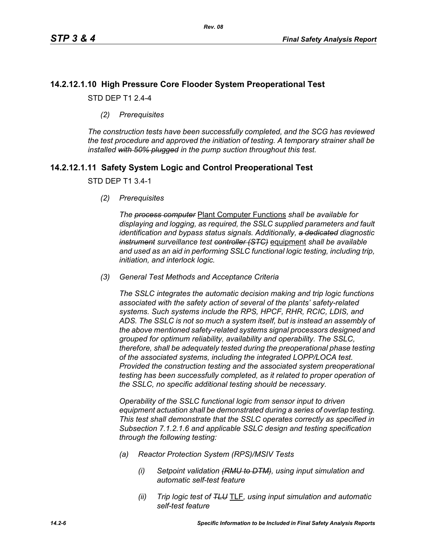## **14.2.12.1.10 High Pressure Core Flooder System Preoperational Test**

STD DEP T1 2.4-4

*(2) Prerequisites*

*The construction tests have been successfully completed, and the SCG has reviewed the test procedure and approved the initiation of testing. A temporary strainer shall be installed with 50% plugged in the pump suction throughout this test.*

## **14.2.12.1.11 Safety System Logic and Control Preoperational Test**

#### STD DEP T1 3.4-1

*(2) Prerequisites*

*The process computer* Plant Computer Functions *shall be available for displaying and logging, as required, the SSLC supplied parameters and fault identification and bypass status signals. Additionally, a dedicated diagnostic instrument surveillance test controller (STC)* equipment *shall be available and used as an aid in performing SSLC functional logic testing, including trip, initiation, and interlock logic.*

*(3) General Test Methods and Acceptance Criteria*

*The SSLC integrates the automatic decision making and trip logic functions associated with the safety action of several of the plants' safety-related systems. Such systems include the RPS, HPCF, RHR, RCIC, LDIS, and ADS. The SSLC is not so much a system itself, but is instead an assembly of the above mentioned safety-related systems signal processors designed and grouped for optimum reliability, availability and operability. The SSLC, therefore, shall be adequately tested during the preoperational phase testing of the associated systems, including the integrated LOPP/LOCA test. Provided the construction testing and the associated system preoperational testing has been successfully completed, as it related to proper operation of the SSLC, no specific additional testing should be necessary.*

*Operability of the SSLC functional logic from sensor input to driven equipment actuation shall be demonstrated during a series of overlap testing. This test shall demonstrate that the SSLC operates correctly as specified in Subsection 7.1.2.1.6 and applicable SSLC design and testing specification through the following testing:*

- *(a) Reactor Protection System (RPS)/MSIV Tests*
	- *(i) Setpoint validation (RMU to DTM), using input simulation and automatic self-test feature*
	- *(ii) Trip logic test of TLU* TLF*, using input simulation and automatic self-test feature*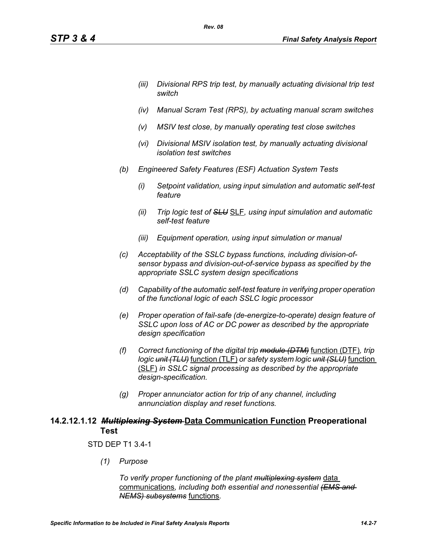- *(iii) Divisional RPS trip test, by manually actuating divisional trip test switch*
- *(iv) Manual Scram Test (RPS), by actuating manual scram switches*
- *(v) MSIV test close, by manually operating test close switches*
- *(vi) Divisional MSIV isolation test, by manually actuating divisional isolation test switches*
- *(b) Engineered Safety Features (ESF) Actuation System Tests*

*Rev. 08*

- *(i) Setpoint validation, using input simulation and automatic self-test feature*
- *(ii) Trip logic test of SLU* SLF*, using input simulation and automatic self-test feature*
- *(iii) Equipment operation, using input simulation or manual*
- *(c) Acceptability of the SSLC bypass functions, including division-ofsensor bypass and division-out-of-service bypass as specified by the appropriate SSLC system design specifications*
- *(d) Capability of the automatic self-test feature in verifying proper operation of the functional logic of each SSLC logic processor*
- *(e) Proper operation of fail-safe (de-energize-to-operate) design feature of SSLC upon loss of AC or DC power as described by the appropriate design specification*
- *(f) Correct functioning of the digital trip module (DTM)* function (DTF)*, trip logic unit (TLU)* function (TLF) *or safety system logic unit (SLU)* function (SLF) *in SSLC signal processing as described by the appropriate design-specification.*
- *(g) Proper annunciator action for trip of any channel, including annunciation display and reset functions.*

## **14.2.12.1.12** *Multiplexing System* **Data Communication Function Preoperational Test**

### STD DEP T1 3.4-1

*(1) Purpose*

*To verify proper functioning of the plant multiplexing system* data communications*, including both essential and nonessential (EMS and NEMS) subsystems* functions*.*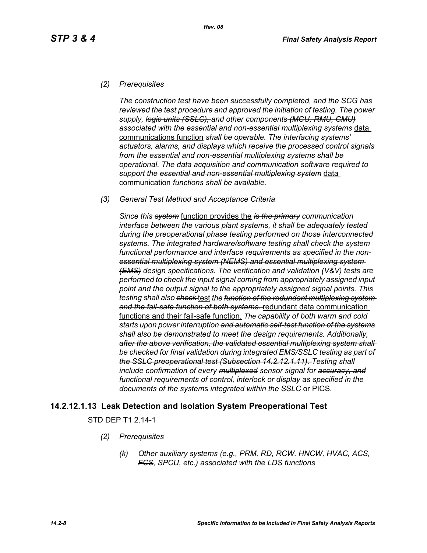### *(2) Prerequisites*

*The construction test have been successfully completed, and the SCG has reviewed the test procedure and approved the initiation of testing. The power supply, logic units (SSLC), and other component*s *(MCU, RMU, CMU) associated with the essential and non-essential multiplexing systems* data communications function *shall be operable. The interfacing systems' actuators, alarms, and displays which receive the processed control signals from the essential and non-essential multiplexing systems shall be operational. The data acquisition and communication software required to support the essential and non-essential multiplexing system* data communication *functions shall be available.*

#### *(3) General Test Method and Acceptance Criteria*

*Since this system* function provides the *is the primary communication interface between the various plant systems, it shall be adequately tested during the preoperational phase testing performed on those interconnected systems. The integrated hardware/software testing shall check the system functional performance and interface requirements as specified in the nonessential multiplexing system (NEMS) and essential multiplexing system (EMS) design specifications. The verification and validation (V&V) tests are performed to check the input signal coming from appropriately assigned input point and the output signal to the appropriately assigned signal points. This testing shall also check* test *the function of the redundant multiplexing system and the fail-safe function of both systems.* redundant data communication functions and their fail-safe function. *The capability of both warm and cold starts upon power interruption and automatic self-test function of the systems shall also be demonstrated to meet the design requirements. Additionally, after the above verification, the validated essential multiplexing system shall be checked for final validation during integrated EMS/SSLC testing as part of the SSLC preoperational test (Subsection 14.2.12.1.11). Testing shall include confirmation of every multiplexed sensor signal for accuracy, and functional requirements of control, interlock or display as specified in the documents of the system*s *integrated within the SSLC* or PICS*.*

## **14.2.12.1.13 Leak Detection and Isolation System Preoperational Test**

STD DEP T1 2.14-1

- *(2) Prerequisites*
	- *(k) Other auxiliary systems (e.g., PRM, RD, RCW, HNCW, HVAC, ACS, FCS, SPCU, etc.) associated with the LDS functions*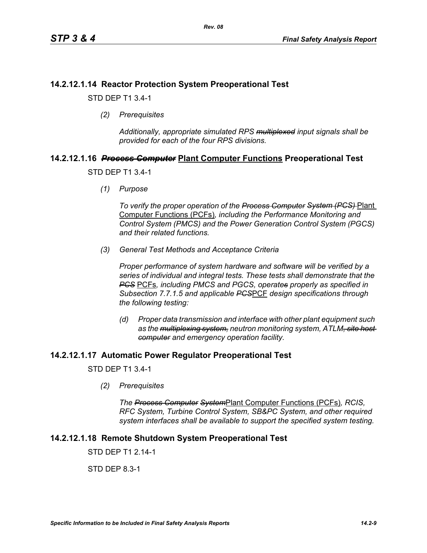## **14.2.12.1.14 Reactor Protection System Preoperational Test**

STD DEP T1 3.4-1

*(2) Prerequisites*

*Additionally, appropriate simulated RPS multiplexed input signals shall be provided for each of the four RPS divisions.*

# **14.2.12.1.16** *Process Computer* **Plant Computer Functions Preoperational Test**

STD DEP T1 3.4-1

*(1) Purpose*

*To verify the proper operation of the Process Computer System (PCS)* Plant Computer Functions (PCFs)*, including the Performance Monitoring and Control System (PMCS) and the Power Generation Control System (PGCS) and their related functions.*

*(3) General Test Methods and Acceptance Criteria*

*Proper performance of system hardware and software will be verified by a series of individual and integral tests. These tests shall demonstrate that the PCS* PCFs*, including PMCS and PGCS, operates properly as specified in Subsection 7.7.1.5 and applicable PCS*PCF *design specifications through the following testing:*

*(d) Proper data transmission and interface with other plant equipment such as the multiplexing system, neutron monitoring system, ATLM, site host computer and emergency operation facility.*

## **14.2.12.1.17 Automatic Power Regulator Preoperational Test**

STD DEP T1 3.4-1

*(2) Prerequisites*

*The Process Computer System*Plant Computer Functions (PCFs)*, RCIS, RFC System, Turbine Control System, SB&PC System, and other required system interfaces shall be available to support the specified system testing.*

## **14.2.12.1.18 Remote Shutdown System Preoperational Test**

STD DFP T1 2 14-1

STD DEP 8.3-1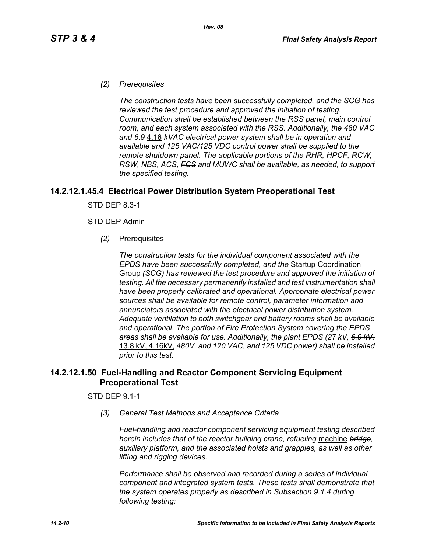### *(2) Prerequisites*

*The construction tests have been successfully completed, and the SCG has reviewed the test procedure and approved the initiation of testing. Communication shall be established between the RSS panel, main control room, and each system associated with the RSS. Additionally, the 480 VAC and 6.9* 4.16 *kVAC electrical power system shall be in operation and available and 125 VAC/125 VDC control power shall be supplied to the remote shutdown panel. The applicable portions of the RHR, HPCF, RCW, RSW, NBS, ACS, FCS and MUWC shall be available, as needed, to support the specified testing.*

### **14.2.12.1.45.4 Electrical Power Distribution System Preoperational Test**

STD DEP 8.3-1

#### STD DEP Admin

*(2)* Prerequisites

*The construction tests for the individual component associated with the EPDS have been successfully completed, and the* Startup Coordination Group *(SCG) has reviewed the test procedure and approved the initiation of testing. All the necessary permanently installed and test instrumentation shall have been properly calibrated and operational. Appropriate electrical power sources shall be available for remote control, parameter information and annunciators associated with the electrical power distribution system. Adequate ventilation to both switchgear and battery rooms shall be available and operational. The portion of Fire Protection System covering the EPDS areas shall be available for use. Additionally, the plant EPDS (27 kV, 6.9 kV,* 13.8 kV, 4.16kV, *480V, and 120 VAC, and 125 VDC power) shall be installed prior to this test.*

## **14.2.12.1.50 Fuel-Handling and Reactor Component Servicing Equipment Preoperational Test**

### STD DEP 9.1-1

*(3) General Test Methods and Acceptance Criteria*

*Fuel-handling and reactor component servicing equipment testing described herein includes that of the reactor building crane, refueling* machine *bridge, auxiliary platform, and the associated hoists and grapples, as well as other lifting and rigging devices.* 

*Performance shall be observed and recorded during a series of individual component and integrated system tests. These tests shall demonstrate that the system operates properly as described in Subsection 9.1.4 during following testing:*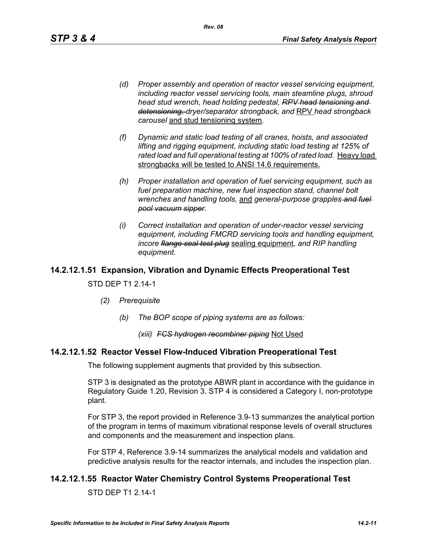*(d) Proper assembly and operation of reactor vessel servicing equipment, including reactor vessel servicing tools, main steamline plugs, shroud head stud wrench, head holding pedestal, RPV head tensioning and detensioning, dryer/separator strongback, and* RPV *head strongback carousel* and stud tensioning system*.*

*Rev. 08*

- *(f) Dynamic and static load testing of all cranes, hoists, and associated lifting and rigging equipment, including static load testing at 125% of*  rated load and full operational testing at 100% of rated load. Heavy load strongbacks will be tested to ANSI 14.6 requirements.
- *(h) Proper installation and operation of fuel servicing equipment, such as fuel preparation machine, new fuel inspection stand, channel bolt wrenches and handling tools,* and *general-purpose grapples and fuel pool vacuum sipper.*
- *(i) Correct installation and operation of under-reactor vessel servicing equipment, including FMCRD servicing tools and handling equipment, incore flange seal test plug* sealing equipment*, and RIP handling equipment.*

## **14.2.12.1.51 Expansion, Vibration and Dynamic Effects Preoperational Test**

#### STD DEP T1 2.14-1

- *(2) Prerequisite*
	- *(b) The BOP scope of piping systems are as follows:*

#### *(xiii) FCS hydrogen recombiner piping* Not Used

### **14.2.12.1.52 Reactor Vessel Flow-Induced Vibration Preoperational Test**

The following supplement augments that provided by this subsection.

STP 3 is designated as the prototype ABWR plant in accordance with the guidance in Regulatory Guide 1.20, Revision 3. STP 4 is considered a Category I, non-prototype plant.

For STP 3, the report provided in Reference 3.9-13 summarizes the analytical portion of the program in terms of maximum vibrational response levels of overall structures and components and the measurement and inspection plans.

For STP 4, Reference 3.9-14 summarizes the analytical models and validation and predictive analysis results for the reactor internals, and includes the inspection plan.

### **14.2.12.1.55 Reactor Water Chemistry Control Systems Preoperational Test**

STD DEP T1 2.14-1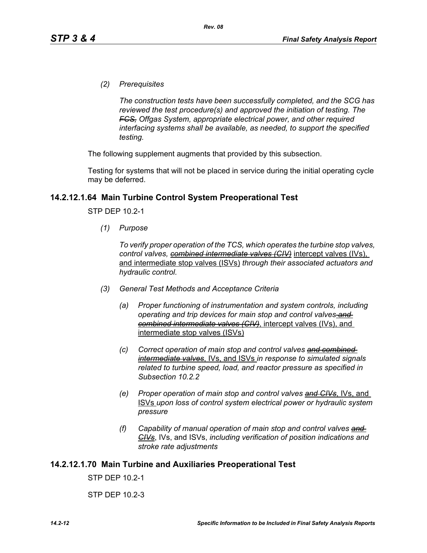*(2) Prerequisites*

*The construction tests have been successfully completed, and the SCG has reviewed the test procedure(s) and approved the initiation of testing. The FCS, Offgas System, appropriate electrical power, and other required interfacing systems shall be available, as needed, to support the specified testing.*

The following supplement augments that provided by this subsection.

Testing for systems that will not be placed in service during the initial operating cycle may be deferred.

### **14.2.12.1.64 Main Turbine Control System Preoperational Test**

STP DEP 10.2-1

*(1) Purpose*

*To verify proper operation of the TCS, which operates the turbine stop valves, control valves, combined intermediate valves (CIV)* intercept valves (IVs), and intermediate stop valves (ISVs) *through their associated actuators and hydraulic control.*

- *(3) General Test Methods and Acceptance Criteria*
	- *(a) Proper functioning of instrumentation and system controls, including operating and trip devices for main stop and control valves and combined intermediate valves (CIV)*, intercept valves (IVs), and intermediate stop valves (ISVs)
	- *(c) Correct operation of main stop and control valves and combined intermediate valves*, IVs, and ISVs *in response to simulated signals related to turbine speed, load, and reactor pressure as specified in Subsection 10.2.2*
	- *(e) Proper operation of main stop and control valves and CIVs*, IVs, and ISVs *upon loss of control system electrical power or hydraulic system pressure*
	- *(f) Capability of manual operation of main stop and control valves and CIVs*, IVs, and ISVs, *including verification of position indications and stroke rate adjustments*

#### **14.2.12.1.70 Main Turbine and Auxiliaries Preoperational Test**

STP DEP 10.2-1

STP DEP 10.2-3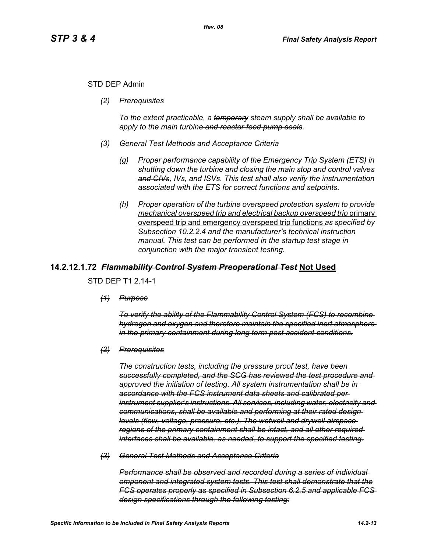### STD DEP Admin

*(2) Prerequisites*

*To the extent practicable, a temporary steam supply shall be available to apply to the main turbine and reactor feed pump seals.*

- *(3) General Test Methods and Acceptance Criteria*
	- *(g) Proper performance capability of the Emergency Trip System (ETS) in shutting down the turbine and closing the main stop and control valves and CIVs, IVs, and ISVs. This test shall also verify the instrumentation associated with the ETS for correct functions and setpoints.*
	- *(h) Proper operation of the turbine overspeed protection system to provide mechanical overspeed trip and electrical backup overspeed trip* primary overspeed trip and emergency overspeed trip functions *as specified by Subsection 10.2.2.4 and the manufacturer's technical instruction manual. This test can be performed in the startup test stage in conjunction with the major transient testing.*

### **14.2.12.1.72** *Flammability Control System Preoperational Test* **Not Used**

STD DEP T1 2.14-1

*(1) Purpose*

*To verify the ability of the Flammability Control System (FCS) to recombine hydrogen and oxygen and therefore maintain the specified inert atmosphere in the primary containment during long term post accident conditions.*

*(2) Prerequisites*

*The construction tests, including the pressure proof test, have been successfully completed, and the SCG has reviewed the test procedure and approved the initiation of testing. All system instrumentation shall be in accordance with the FCS instrument data sheets and calibrated per instrument supplier's instructions. All services, including water, electricity and communications, shall be available and performing at their rated design levels (flow, voltage, pressure, etc.). The wetwell and drywell airspace regions of the primary containment shall be intact, and all other required interfaces shall be available, as needed, to support the specified testing.*

*(3) General Test Methods and Acceptance Criteria*

*Performance shall be observed and recorded during a series of individual omponent and integrated system tests. This test shall demonstrate that the FCS operates properly as specified in Subsection 6.2.5 and applicable FCS design specifications through the following testing:*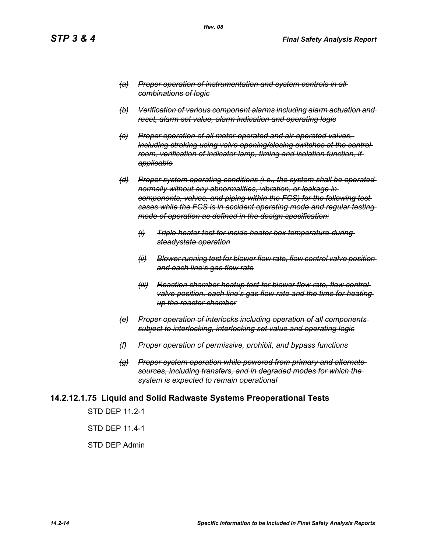- *(a) Proper operation of instrumentation and system controls in all combinations of logic*
- *(b) Verification of various component alarms including alarm actuation and reset, alarm set value, alarm indication and operating logic*
- *(c) Proper operation of all motor-operated and air-operated valves, including stroking using valve opening/closing switches at the control room, verification of indicator lamp, timing and isolation function, if applicable*
- *(d) Proper system operating conditions (i.e., the system shall be operated normally without any abnormalities, vibration, or leakage in components, valves, and piping within the FCS) for the following test cases while the FCS is in accident operating mode and regular testing mode of operation as defined in the design specification:*
	- *(i) Triple heater test for inside heater box temperature during steadystate operation*
	- *(ii) Blower running test for blower flow rate, flow control valve position and each line's gas flow rate*
	- *(iii) Reaction chamber heatup test for blower flow rate, flow control valve position, each line's gas flow rate and the time for heating up the reactor chamber*
- *(e) Proper operation of interlocks including operation of all components subject to interlocking, interlocking set value and operating logic*
- *(f) Proper operation of permissive, prohibit, and bypass functions*
- *(g) Proper system operation while powered from primary and alternate sources, including transfers, and in degraded modes for which the system is expected to remain operational*

### **14.2.12.1.75 Liquid and Solid Radwaste Systems Preoperational Tests**

STD DEP 11.2-1

STD DEP 11.4-1

#### STD DEP Admin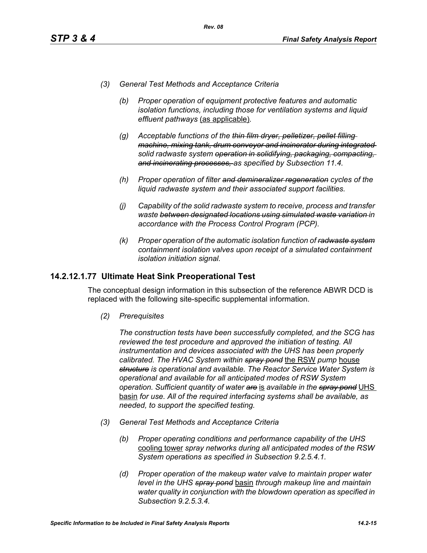- *(3) General Test Methods and Acceptance Criteria*
	- *(b) Proper operation of equipment protective features and automatic isolation functions, including those for ventilation systems and liquid effluent pathways* (as applicable)*.*
	- *(g) Acceptable functions of the thin film dryer, pelletizer, pellet filling machine, mixing tank, drum conveyor and incinerator during integrated solid radwaste system operation in solidifying, packaging, compacting, and incinerating processes, as specified by Subsection 11.4.*
	- *(h) Proper operation of filter and demineralizer regeneration cycles of the liquid radwaste system and their associated support facilities.*
	- *(j) Capability of the solid radwaste system to receive, process and transfer waste between designated locations using simulated waste variation in accordance with the Process Control Program (PCP).*
	- *(k) Proper operation of the automatic isolation function of radwaste system containment isolation valves upon receipt of a simulated containment isolation initiation signal.*

## **14.2.12.1.77 Ultimate Heat Sink Preoperational Test**

The conceptual design information in this subsection of the reference ABWR DCD is replaced with the following site-specific supplemental information.

*(2) Prerequisites*

*The construction tests have been successfully completed, and the SCG has reviewed the test procedure and approved the initiation of testing. All instrumentation and devices associated with the UHS has been properly calibrated. The HVAC System within spray pond* the RSW *pump* house *structure is operational and available. The Reactor Service Water System is operational and available for all anticipated modes of RSW System operation. Sufficient quantity of water are* is *available in the spray pond* UHS basin *for use. All of the required interfacing systems shall be available, as needed, to support the specified testing.*

- *(3) General Test Methods and Acceptance Criteria*
	- *(b) Proper operating conditions and performance capability of the UHS*  cooling tower *spray networks during all anticipated modes of the RSW System operations as specified in Subsection 9.2.5.4.1.*
	- *(d) Proper operation of the makeup water valve to maintain proper water level in the UHS spray pond* basin *through makeup line and maintain water quality in conjunction with the blowdown operation as specified in Subsection 9.2.5.3.4.*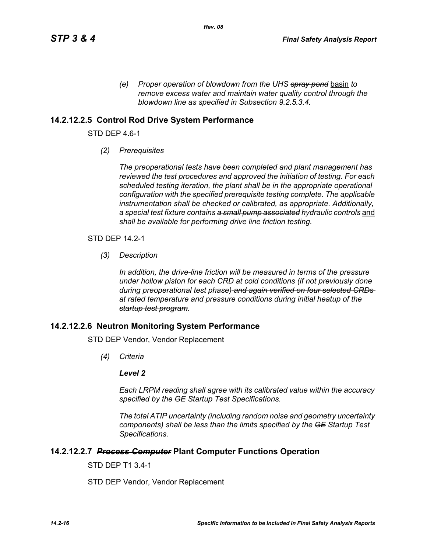*(e) Proper operation of blowdown from the UHS spray pond* basin *to remove excess water and maintain water quality control through the blowdown line as specified in Subsection 9.2.5.3.4.* 

## **14.2.12.2.5 Control Rod Drive System Performance**

STD DEP 4.6-1

*(2) Prerequisites*

*The preoperational tests have been completed and plant management has reviewed the test procedures and approved the initiation of testing. For each scheduled testing iteration, the plant shall be in the appropriate operational configuration with the specified prerequisite testing complete. The applicable instrumentation shall be checked or calibrated, as appropriate. Additionally,*  a special test fixture contains a small pump associated hydraulic controls and *shall be available for performing drive line friction testing.*

STD DEP 14.2-1

*(3) Description*

*In addition, the drive-line friction will be measured in terms of the pressure under hollow piston for each CRD at cold conditions (if not previously done during preoperational test phase) and again verified on four selected CRDs at rated temperature and pressure conditions during initial heatup of the startup test program.*

### **14.2.12.2.6 Neutron Monitoring System Performance**

STD DEP Vendor, Vendor Replacement

*(4) Criteria*

#### *Level 2*

*Each LRPM reading shall agree with its calibrated value within the accuracy specified by the GE Startup Test Specifications.*

*The total ATIP uncertainty (including random noise and geometry uncertainty components) shall be less than the limits specified by the GE Startup Test Specifications.*

### **14.2.12.2.7** *Process Computer* **Plant Computer Functions Operation**

STD DEP T1 3.4-1

STD DEP Vendor, Vendor Replacement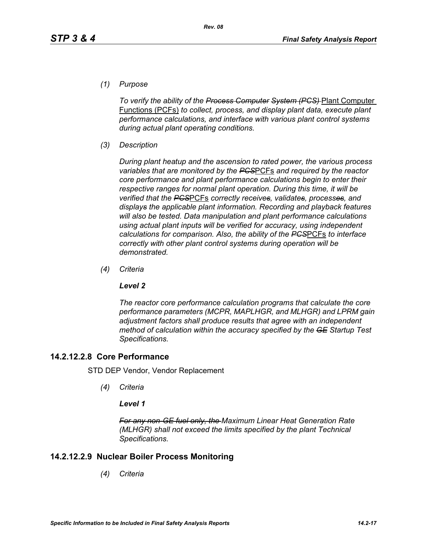*(1) Purpose*

*To verify the ability of the Process Computer System (PCS)* Plant Computer Functions (PCFs) *to collect, process, and display plant data, execute plant performance calculations, and interface with various plant control systems during actual plant operating conditions.*

*(3) Description*

*During plant heatup and the ascension to rated power, the various process variables that are monitored by the PCS*PCFs *and required by the reactor core performance and plant performance calculations begin to enter their respective ranges for normal plant operation. During this time, it will be verified that the PCS*PCFs *correctly receives, validates, processes, and displays the applicable plant information. Recording and playback features will also be tested. Data manipulation and plant performance calculations using actual plant inputs will be verified for accuracy, using independent calculations for comparison. Also, the ability of the PCS*PCFs *to interface correctly with other plant control systems during operation will be demonstrated.*

*(4) Criteria*

### *Level 2*

*The reactor core performance calculation programs that calculate the core performance parameters (MCPR, MAPLHGR, and MLHGR) and LPRM gain adjustment factors shall produce results that agree with an independent method of calculation within the accuracy specified by the GE Startup Test Specifications.*

## **14.2.12.2.8 Core Performance**

STD DEP Vendor, Vendor Replacement

*(4) Criteria*

### *Level 1*

*For any non-GE fuel only, the Maximum Linear Heat Generation Rate (MLHGR) shall not exceed the limits specified by the plant Technical Specifications.*

## **14.2.12.2.9 Nuclear Boiler Process Monitoring**

*(4) Criteria*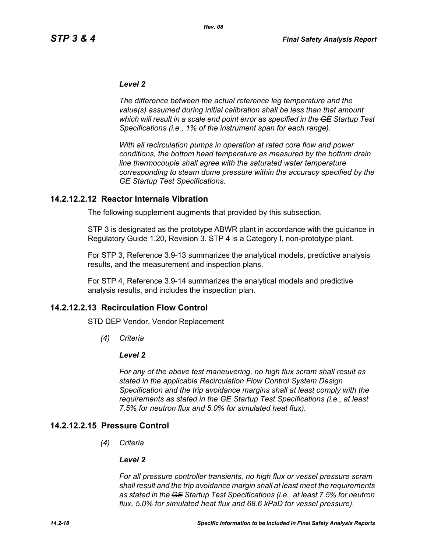#### *Level 2*

*The difference between the actual reference leg temperature and the value(s) assumed during initial calibration shall be less than that amount which will result in a scale end point error as specified in the GE Startup Test Specifications (i.e., 1% of the instrument span for each range).* 

*With all recirculation pumps in operation at rated core flow and power conditions, the bottom head temperature as measured by the bottom drain line thermocouple shall agree with the saturated water temperature corresponding to steam dome pressure within the accuracy specified by the GE Startup Test Specifications.*

### **14.2.12.2.12 Reactor Internals Vibration**

The following supplement augments that provided by this subsection.

STP 3 is designated as the prototype ABWR plant in accordance with the guidance in Regulatory Guide 1.20, Revision 3. STP 4 is a Category I, non-prototype plant.

For STP 3, Reference 3.9-13 summarizes the analytical models, predictive analysis results, and the measurement and inspection plans.

For STP 4, Reference 3.9-14 summarizes the analytical models and predictive analysis results, and includes the inspection plan.

### **14.2.12.2.13 Recirculation Flow Control**

STD DEP Vendor, Vendor Replacement

*(4) Criteria*

#### *Level 2*

*For any of the above test maneuvering, no high flux scram shall result as stated in the applicable Recirculation Flow Control System Design Specification and the trip avoidance margins shall at least comply with the requirements as stated in the GE Startup Test Specifications (i.e., at least 7.5% for neutron flux and 5.0% for simulated heat flux).*

### **14.2.12.2.15 Pressure Control**

*(4) Criteria*

#### *Level 2*

*For all pressure controller transients, no high flux or vessel pressure scram shall result and the trip avoidance margin shall at least meet the requirements as stated in the GE Startup Test Specifications (i.e., at least 7.5% for neutron flux, 5.0% for simulated heat flux and 68.6 kPaD for vessel pressure).*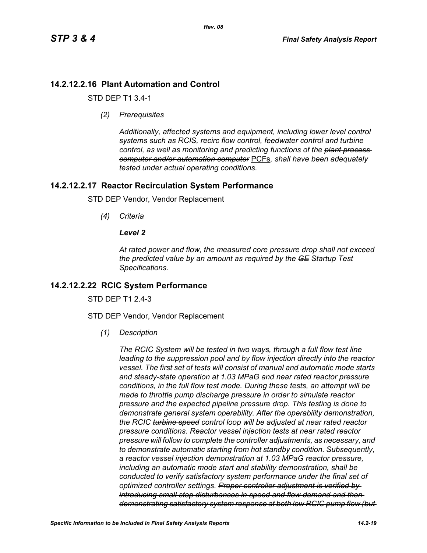## **14.2.12.2.16 Plant Automation and Control**

STD DEP T1 3.4-1

*(2) Prerequisites*

*Additionally, affected systems and equipment, including lower level control systems such as RCIS, recirc flow control, feedwater control and turbine control, as well as monitoring and predicting functions of the plant process computer and/or automation computer* PCFs*, shall have been adequately tested under actual operating conditions.*

## **14.2.12.2.17 Reactor Recirculation System Performance**

STD DEP Vendor, Vendor Replacement

*(4) Criteria*

## *Level 2*

*At rated power and flow, the measured core pressure drop shall not exceed the predicted value by an amount as required by the GE Startup Test Specifications.*

## **14.2.12.2.22 RCIC System Performance**

STD DFP T1 2 4-3

STD DEP Vendor, Vendor Replacement

*(1) Description*

*The RCIC System will be tested in two ways, through a full flow test line leading to the suppression pool and by flow injection directly into the reactor vessel. The first set of tests will consist of manual and automatic mode starts and steady-state operation at 1.03 MPaG and near rated reactor pressure conditions, in the full flow test mode. During these tests, an attempt will be made to throttle pump discharge pressure in order to simulate reactor pressure and the expected pipeline pressure drop. This testing is done to demonstrate general system operability. After the operability demonstration, the RCIC turbine speed control loop will be adjusted at near rated reactor pressure conditions. Reactor vessel injection tests at near rated reactor pressure will follow to complete the controller adjustments, as necessary, and to demonstrate automatic starting from hot standby condition. Subsequently, a reactor vessel injection demonstration at 1.03 MPaG reactor pressure, including an automatic mode start and stability demonstration, shall be conducted to verify satisfactory system performance under the final set of optimized controller settings. Proper controller adjustment is verified by introducing small step disturbances in speed and flow demand and then demonstrating satisfactory system response at both low RCIC pump flow (but*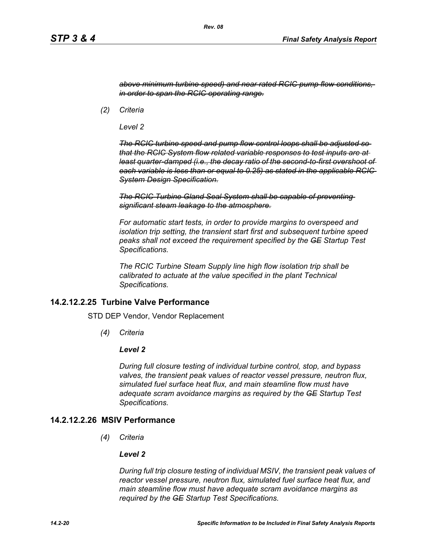*above minimum turbine speed) and near rated RCIC pump flow conditions, in order to span the RCIC operating range.*

*(2) Criteria*

*Level 2*

*The RCIC turbine speed and pump flow control loops shall be adjusted so that the RCIC System flow related variable responses to test inputs are at least quarter-damped (i.e., the decay ratio of the second-to-first overshoot of each variable is less than or equal to 0.25) as stated in the applicable RCIC System Design Specification.*

*The RCIC Turbine Gland Seal System shall be capable of preventing significant steam leakage to the atmosphere.*

*For automatic start tests, in order to provide margins to overspeed and isolation trip setting, the transient start first and subsequent turbine speed peaks shall not exceed the requirement specified by the GE Startup Test Specifications.*

*The RCIC Turbine Steam Supply line high flow isolation trip shall be calibrated to actuate at the value specified in the plant Technical Specifications.*

### **14.2.12.2.25 Turbine Valve Performance**

STD DEP Vendor, Vendor Replacement

*(4) Criteria*

#### *Level 2*

*During full closure testing of individual turbine control, stop, and bypass valves, the transient peak values of reactor vessel pressure, neutron flux, simulated fuel surface heat flux, and main steamline flow must have adequate scram avoidance margins as required by the GE Startup Test Specifications.*

## **14.2.12.2.26 MSIV Performance**

*(4) Criteria*

#### *Level 2*

*During full trip closure testing of individual MSIV, the transient peak values of reactor vessel pressure, neutron flux, simulated fuel surface heat flux, and main steamline flow must have adequate scram avoidance margins as required by the GE Startup Test Specifications.*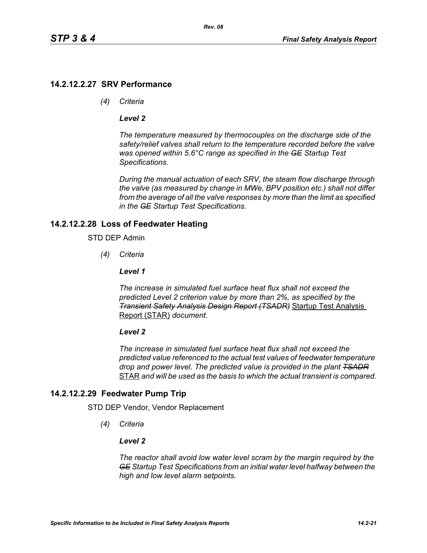## **14.2.12.2.27 SRV Performance**

*(4) Criteria*

### *Level 2*

*The temperature measured by thermocouples on the discharge side of the safety/relief valves shall return to the temperature recorded before the valve was opened within 5.6°C range as specified in the GE Startup Test Specifications.*

*During the manual actuation of each SRV, the steam flow discharge through the valve (as measured by change in MWe, BPV position etc.) shall not differ from the average of all the valve responses by more than the limit as specified in the GE Startup Test Specifications.*

## **14.2.12.2.28 Loss of Feedwater Heating**

#### STD DEP Admin

*(4) Criteria*

#### *Level 1*

*The increase in simulated fuel surface heat flux shall not exceed the predicted Level 2 criterion value by more than 2%, as specified by the Transient Safety Analysis Design Report (TSADR)* Startup Test Analysis Report (STAR) *document*.

#### *Level 2*

*The increase in simulated fuel surface heat flux shall not exceed the predicted value referenced to the actual test values of feedwater temperature drop and power level. The predicted value is provided in the plant TSADR* STAR *and will be used as the basis to which the actual transient is compared.*

## **14.2.12.2.29 Feedwater Pump Trip**

STD DEP Vendor, Vendor Replacement

*(4) Criteria*

### *Level 2*

*The reactor shall avoid low water level scram by the margin required by the GE Startup Test Specifications from an initial water level halfway between the high and low level alarm setpoints.*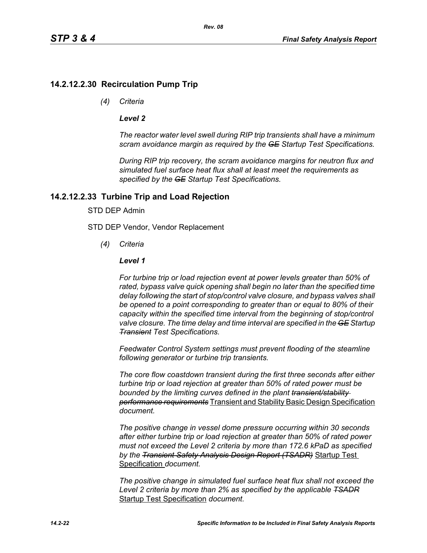## **14.2.12.2.30 Recirculation Pump Trip**

*(4) Criteria*

### *Level 2*

*The reactor water level swell during RIP trip transients shall have a minimum scram avoidance margin as required by the GE Startup Test Specifications.*

*During RIP trip recovery, the scram avoidance margins for neutron flux and simulated fuel surface heat flux shall at least meet the requirements as specified by the GE Startup Test Specifications.*

## **14.2.12.2.33 Turbine Trip and Load Rejection**

### STD DEP Admin

STD DEP Vendor, Vendor Replacement

*(4) Criteria*

### *Level 1*

*For turbine trip or load rejection event at power levels greater than 50% of*  rated, bypass valve quick opening shall begin no later than the specified time *delay following the start of stop/control valve closure, and bypass valves shall be opened to a point corresponding to greater than or equal to 80% of their capacity within the specified time interval from the beginning of stop/control valve closure. The time delay and time interval are specified in the GE Startup Transient Test Specifications.*

*Feedwater Control System settings must prevent flooding of the steamline following generator or turbine trip transients.*

*The core flow coastdown transient during the first three seconds after either turbine trip or load rejection at greater than 50% of rated power must be bounded by the limiting curves defined in the plant transient/stability performance requirements* Transient and Stability Basic Design Specification *document.*

*The positive change in vessel dome pressure occurring within 30 seconds after either turbine trip or load rejection at greater than 50% of rated power must not exceed the Level 2 criteria by more than 172.6 kPaD as specified by the Transient Safety Analysis Design Report (TSADR)* Startup Test Specification *document.*

*The positive change in simulated fuel surface heat flux shall not exceed the Level 2 criteria by more than 2% as specified by the applicable TSADR* Startup Test Specification *document.*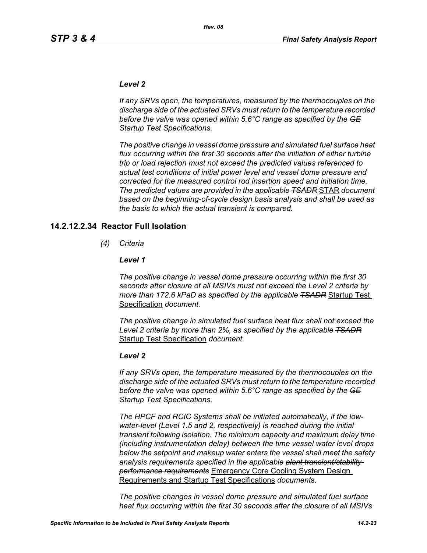#### *Level 2*

*If any SRVs open, the temperatures, measured by the thermocouples on the discharge side of the actuated SRVs must return to the temperature recorded before the valve was opened within 5.6°C range as specified by the GE Startup Test Specifications.*

*The positive change in vessel dome pressure and simulated fuel surface heat flux occurring within the first 30 seconds after the initiation of either turbine trip or load rejection must not exceed the predicted values referenced to actual test conditions of initial power level and vessel dome pressure and corrected for the measured control rod insertion speed and initiation time. The predicted values are provided in the applicable TSADR* STAR *document based on the beginning-of-cycle design basis analysis and shall be used as the basis to which the actual transient is compared.*

#### **14.2.12.2.34 Reactor Full Isolation**

*(4) Criteria*

#### *Level 1*

*The positive change in vessel dome pressure occurring within the first 30 seconds after closure of all MSIVs must not exceed the Level 2 criteria by more than 172.6 kPaD as specified by the applicable TSADR* Startup Test Specification *document.*

*The positive change in simulated fuel surface heat flux shall not exceed the Level 2 criteria by more than 2%, as specified by the applicable TSADR* Startup Test Specification *document.*

#### *Level 2*

*If any SRVs open, the temperature measured by the thermocouples on the discharge side of the actuated SRVs must return to the temperature recorded before the valve was opened within 5.6°C range as specified by the GE Startup Test Specifications.*

*The HPCF and RCIC Systems shall be initiated automatically, if the lowwater-level (Level 1.5 and 2, respectively) is reached during the initial transient following isolation. The minimum capacity and maximum delay time (including instrumentation delay) between the time vessel water level drops below the setpoint and makeup water enters the vessel shall meet the safety analysis requirements specified in the applicable plant transient/stability performance requirements* Emergency Core Cooling System Design Requirements and Startup Test Specifications *document*s*.*

*The positive changes in vessel dome pressure and simulated fuel surface heat flux occurring within the first 30 seconds after the closure of all MSIVs*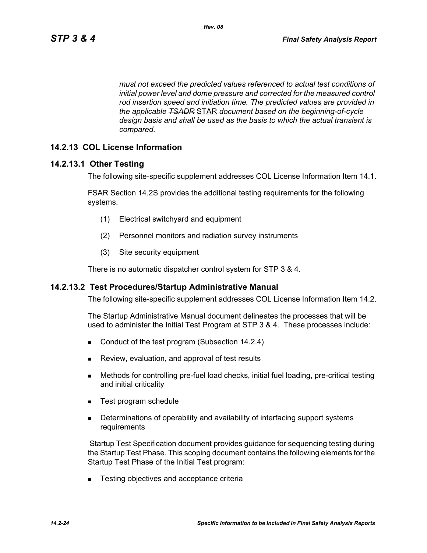*must not exceed the predicted values referenced to actual test conditions of initial power level and dome pressure and corrected for the measured control rod insertion speed and initiation time. The predicted values are provided in the applicable TSADR* STAR *document based on the beginning-of-cycle design basis and shall be used as the basis to which the actual transient is compared.*

## **14.2.13 COL License Information**

### **14.2.13.1 Other Testing**

The following site-specific supplement addresses COL License Information Item 14.1.

FSAR Section 14.2S provides the additional testing requirements for the following systems.

- (1) Electrical switchyard and equipment
- (2) Personnel monitors and radiation survey instruments
- (3) Site security equipment

There is no automatic dispatcher control system for STP 3 & 4.

#### **14.2.13.2 Test Procedures/Startup Administrative Manual**

The following site-specific supplement addresses COL License Information Item 14.2.

The Startup Administrative Manual document delineates the processes that will be used to administer the Initial Test Program at STP 3 & 4. These processes include:

- Conduct of the test program (Subsection 14.2.4)
- **Review, evaluation, and approval of test results**
- Methods for controlling pre-fuel load checks, initial fuel loading, pre-critical testing and initial criticality
- Test program schedule
- **Determinations of operability and availability of interfacing support systems** requirements

 Startup Test Specification document provides guidance for sequencing testing during the Startup Test Phase. This scoping document contains the following elements for the Startup Test Phase of the Initial Test program:

■ Testing objectives and acceptance criteria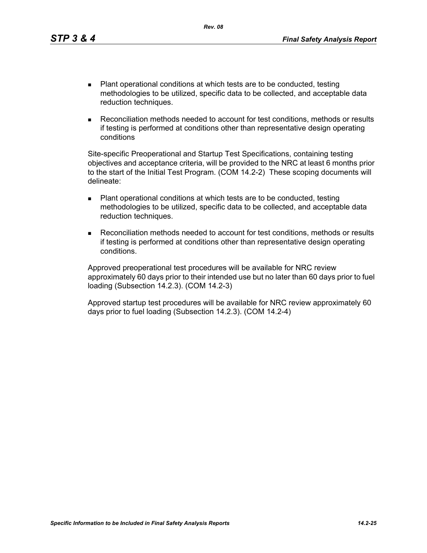- Plant operational conditions at which tests are to be conducted, testing methodologies to be utilized, specific data to be collected, and acceptable data reduction techniques.
- Reconciliation methods needed to account for test conditions, methods or results if testing is performed at conditions other than representative design operating conditions

Site-specific Preoperational and Startup Test Specifications, containing testing objectives and acceptance criteria, will be provided to the NRC at least 6 months prior to the start of the Initial Test Program. (COM 14.2-2) These scoping documents will delineate:

- Plant operational conditions at which tests are to be conducted, testing methodologies to be utilized, specific data to be collected, and acceptable data reduction techniques.
- Reconciliation methods needed to account for test conditions, methods or results if testing is performed at conditions other than representative design operating conditions.

Approved preoperational test procedures will be available for NRC review approximately 60 days prior to their intended use but no later than 60 days prior to fuel loading (Subsection 14.2.3). (COM 14.2-3)

Approved startup test procedures will be available for NRC review approximately 60 days prior to fuel loading (Subsection 14.2.3). (COM 14.2-4)